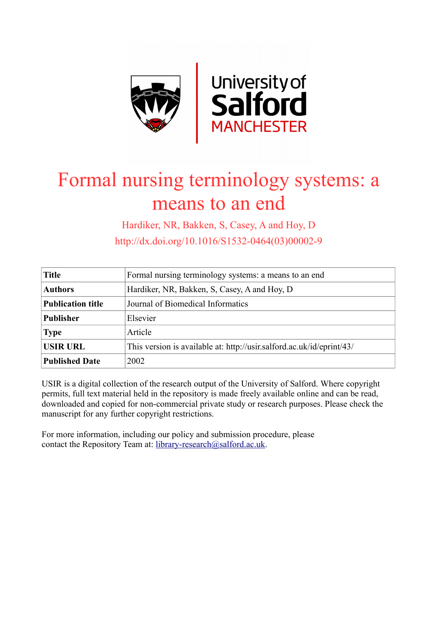

# Formal nursing terminology systems: a means to an end

Hardiker, NR, Bakken, S, Casey, A and Hoy, D http://dx.doi.org/10.1016/S1532-0464(03)00002-9

| <b>Title</b>             | Formal nursing terminology systems: a means to an end                 |
|--------------------------|-----------------------------------------------------------------------|
| <b>Authors</b>           | Hardiker, NR, Bakken, S, Casey, A and Hoy, D                          |
| <b>Publication title</b> | Journal of Biomedical Informatics                                     |
| <b>Publisher</b>         | Elsevier                                                              |
| <b>Type</b>              | Article                                                               |
| <b>USIR URL</b>          | This version is available at: http://usir.salford.ac.uk/id/eprint/43/ |
| <b>Published Date</b>    | 2002                                                                  |

USIR is a digital collection of the research output of the University of Salford. Where copyright permits, full text material held in the repository is made freely available online and can be read, downloaded and copied for non-commercial private study or research purposes. Please check the manuscript for any further copyright restrictions.

For more information, including our policy and submission procedure, please contact the Repository Team at: [library-research@salford.ac.uk.](mailto:library-research@salford.ac.uk)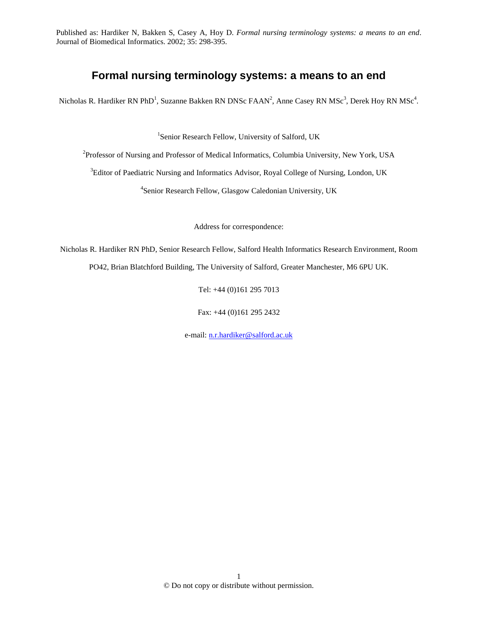# **Formal nursing terminology systems: a means to an end**

Nicholas R. Hardiker RN PhD<sup>1</sup>, Suzanne Bakken RN DNSc FAAN<sup>2</sup>, Anne Casey RN MSc<sup>3</sup>, Derek Hoy RN MSc<sup>4</sup>.

<sup>1</sup>Senior Research Fellow, University of Salford, UK

<sup>2</sup>Professor of Nursing and Professor of Medical Informatics, Columbia University, New York, USA

<sup>3</sup>Editor of Paediatric Nursing and Informatics Advisor, Royal College of Nursing, London, UK

4 Senior Research Fellow, Glasgow Caledonian University, UK

Address for correspondence:

Nicholas R. Hardiker RN PhD, Senior Research Fellow, Salford Health Informatics Research Environment, Room PO42, Brian Blatchford Building, The University of Salford, Greater Manchester, M6 6PU UK.

Tel: +44 (0)161 295 7013

Fax: +44 (0)161 295 2432

e-mail: [n.r.hardiker@salford.ac.uk](mailto:n.r.hardiker@salford.ac.uk)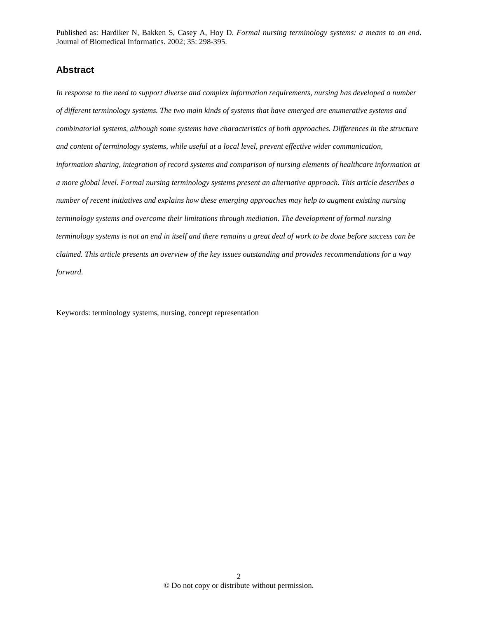# **Abstract**

*In response to the need to support diverse and complex information requirements, nursing has developed a number of different terminology systems. The two main kinds of systems that have emerged are enumerative systems and combinatorial systems, although some systems have characteristics of both approaches. Differences in the structure and content of terminology systems, while useful at a local level, prevent effective wider communication, information sharing, integration of record systems and comparison of nursing elements of healthcare information at a more global level. Formal nursing terminology systems present an alternative approach. This article describes a number of recent initiatives and explains how these emerging approaches may help to augment existing nursing terminology systems and overcome their limitations through mediation. The development of formal nursing terminology systems is not an end in itself and there remains a great deal of work to be done before success can be claimed. This article presents an overview of the key issues outstanding and provides recommendations for a way forward.*

Keywords: terminology systems, nursing, concept representation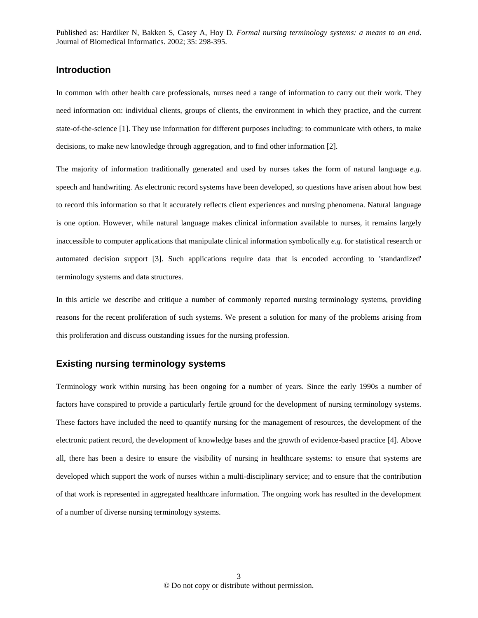#### **Introduction**

In common with other health care professionals, nurses need a range of information to carry out their work. They need information on: individual clients, groups of clients, the environment in which they practice, and the current state-of-the-science [1]. They use information for different purposes including: to communicate with others, to make decisions, to make new knowledge through aggregation, and to find other information [2].

The majority of information traditionally generated and used by nurses takes the form of natural language *e.g.* speech and handwriting. As electronic record systems have been developed, so questions have arisen about how best to record this information so that it accurately reflects client experiences and nursing phenomena. Natural language is one option. However, while natural language makes clinical information available to nurses, it remains largely inaccessible to computer applications that manipulate clinical information symbolically *e.g.* for statistical research or automated decision support [3]. Such applications require data that is encoded according to 'standardized' terminology systems and data structures.

In this article we describe and critique a number of commonly reported nursing terminology systems, providing reasons for the recent proliferation of such systems. We present a solution for many of the problems arising from this proliferation and discuss outstanding issues for the nursing profession.

#### **Existing nursing terminology systems**

Terminology work within nursing has been ongoing for a number of years. Since the early 1990s a number of factors have conspired to provide a particularly fertile ground for the development of nursing terminology systems. These factors have included the need to quantify nursing for the management of resources, the development of the electronic patient record, the development of knowledge bases and the growth of evidence-based practice [4]. Above all, there has been a desire to ensure the visibility of nursing in healthcare systems: to ensure that systems are developed which support the work of nurses within a multi-disciplinary service; and to ensure that the contribution of that work is represented in aggregated healthcare information. The ongoing work has resulted in the development of a number of diverse nursing terminology systems.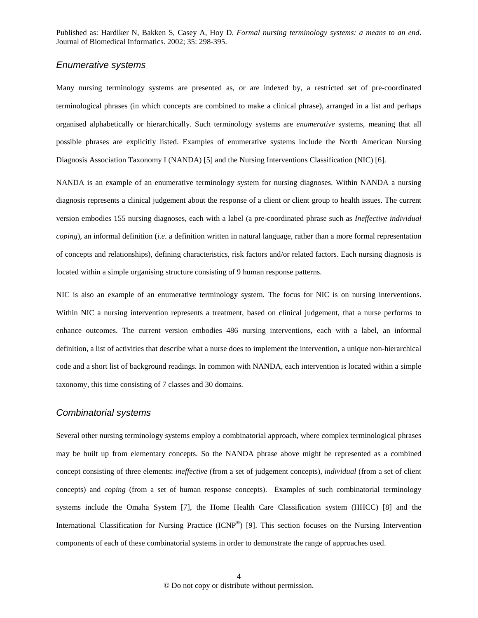#### *Enumerative systems*

Many nursing terminology systems are presented as, or are indexed by, a restricted set of pre-coordinated terminological phrases (in which concepts are combined to make a clinical phrase), arranged in a list and perhaps organised alphabetically or hierarchically. Such terminology systems are *enumerative* systems, meaning that all possible phrases are explicitly listed. Examples of enumerative systems include the North American Nursing Diagnosis Association Taxonomy I (NANDA) [5] and the Nursing Interventions Classification (NIC) [6].

NANDA is an example of an enumerative terminology system for nursing diagnoses. Within NANDA a nursing diagnosis represents a clinical judgement about the response of a client or client group to health issues. The current version embodies 155 nursing diagnoses, each with a label (a pre-coordinated phrase such as *Ineffective individual coping*), an informal definition (*i.e*. a definition written in natural language, rather than a more formal representation of concepts and relationships), defining characteristics, risk factors and/or related factors. Each nursing diagnosis is located within a simple organising structure consisting of 9 human response patterns.

NIC is also an example of an enumerative terminology system. The focus for NIC is on nursing interventions. Within NIC a nursing intervention represents a treatment, based on clinical judgement, that a nurse performs to enhance outcomes. The current version embodies 486 nursing interventions, each with a label, an informal definition, a list of activities that describe what a nurse does to implement the intervention, a unique non-hierarchical code and a short list of background readings. In common with NANDA, each intervention is located within a simple taxonomy, this time consisting of 7 classes and 30 domains.

#### *Combinatorial systems*

Several other nursing terminology systems employ a combinatorial approach, where complex terminological phrases may be built up from elementary concepts. So the NANDA phrase above might be represented as a combined concept consisting of three elements: *ineffective* (from a set of judgement concepts), *individual* (from a set of client concepts) and *coping* (from a set of human response concepts). Examples of such combinatorial terminology systems include the Omaha System [7], the Home Health Care Classification system (HHCC) [8] and the International Classification for Nursing Practice (ICNP®) [9]. This section focuses on the Nursing Intervention components of each of these combinatorial systems in order to demonstrate the range of approaches used.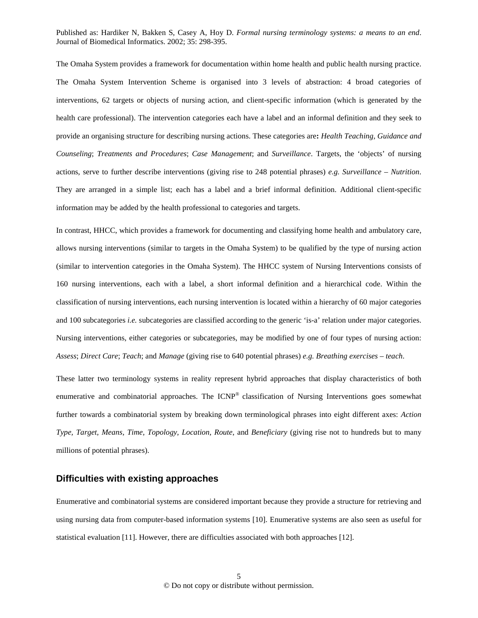The Omaha System provides a framework for documentation within home health and public health nursing practice. The Omaha System Intervention Scheme is organised into 3 levels of abstraction: 4 broad categories of interventions, 62 targets or objects of nursing action, and client-specific information (which is generated by the health care professional). The intervention categories each have a label and an informal definition and they seek to provide an organising structure for describing nursing actions. These categories are**:** *Health Teaching, Guidance and Counseling*; *Treatments and Procedures*; *Case Management*; and *Surveillance*. Targets, the 'objects' of nursing actions, serve to further describe interventions (giving rise to 248 potential phrases) *e.g. Surveillance – Nutrition*. They are arranged in a simple list; each has a label and a brief informal definition. Additional client-specific information may be added by the health professional to categories and targets.

In contrast, HHCC, which provides a framework for documenting and classifying home health and ambulatory care, allows nursing interventions (similar to targets in the Omaha System) to be qualified by the type of nursing action (similar to intervention categories in the Omaha System). The HHCC system of Nursing Interventions consists of 160 nursing interventions, each with a label, a short informal definition and a hierarchical code. Within the classification of nursing interventions, each nursing intervention is located within a hierarchy of 60 major categories and 100 subcategories *i.e.* subcategories are classified according to the generic 'is-a' relation under major categories. Nursing interventions, either categories or subcategories, may be modified by one of four types of nursing action: *Assess*; *Direct Care*; *Teach*; and *Manage* (giving rise to 640 potential phrases) *e.g. Breathing exercises – teach*.

These latter two terminology systems in reality represent hybrid approaches that display characteristics of both enumerative and combinatorial approaches. The ICNP® classification of Nursing Interventions goes somewhat further towards a combinatorial system by breaking down terminological phrases into eight different axes: *Action Type, Target, Means, Time, Topology, Location, Route*, and *Beneficiary* (giving rise not to hundreds but to many millions of potential phrases).

#### **Difficulties with existing approaches**

Enumerative and combinatorial systems are considered important because they provide a structure for retrieving and using nursing data from computer-based information systems [10]. Enumerative systems are also seen as useful for statistical evaluation [11]. However, there are difficulties associated with both approaches [12].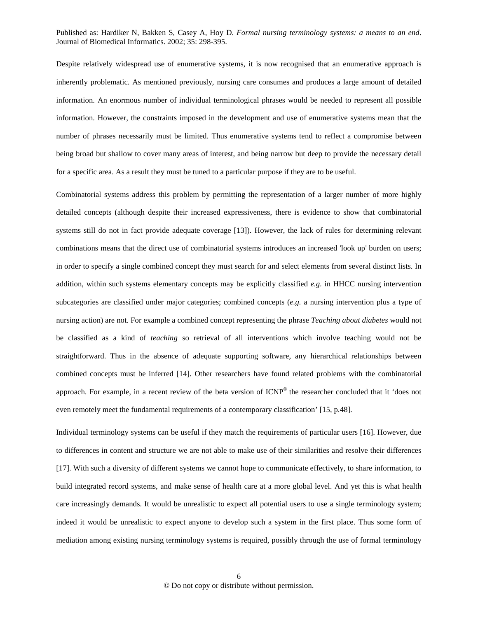Despite relatively widespread use of enumerative systems, it is now recognised that an enumerative approach is inherently problematic. As mentioned previously, nursing care consumes and produces a large amount of detailed information. An enormous number of individual terminological phrases would be needed to represent all possible information. However, the constraints imposed in the development and use of enumerative systems mean that the number of phrases necessarily must be limited. Thus enumerative systems tend to reflect a compromise between being broad but shallow to cover many areas of interest, and being narrow but deep to provide the necessary detail for a specific area. As a result they must be tuned to a particular purpose if they are to be useful.

Combinatorial systems address this problem by permitting the representation of a larger number of more highly detailed concepts (although despite their increased expressiveness, there is evidence to show that combinatorial systems still do not in fact provide adequate coverage [13]). However, the lack of rules for determining relevant combinations means that the direct use of combinatorial systems introduces an increased 'look up' burden on users; in order to specify a single combined concept they must search for and select elements from several distinct lists. In addition, within such systems elementary concepts may be explicitly classified *e.g.* in HHCC nursing intervention subcategories are classified under major categories; combined concepts (*e.g.* a nursing intervention plus a type of nursing action) are not. For example a combined concept representing the phrase *Teaching about diabetes* would not be classified as a kind of *teaching* so retrieval of all interventions which involve teaching would not be straightforward. Thus in the absence of adequate supporting software, any hierarchical relationships between combined concepts must be inferred [14]. Other researchers have found related problems with the combinatorial approach. For example, in a recent review of the beta version of ICNP® the researcher concluded that it 'does not even remotely meet the fundamental requirements of a contemporary classification' [15, p.48].

Individual terminology systems can be useful if they match the requirements of particular users [16]. However, due to differences in content and structure we are not able to make use of their similarities and resolve their differences [17]. With such a diversity of different systems we cannot hope to communicate effectively, to share information, to build integrated record systems, and make sense of health care at a more global level. And yet this is what health care increasingly demands. It would be unrealistic to expect all potential users to use a single terminology system; indeed it would be unrealistic to expect anyone to develop such a system in the first place. Thus some form of mediation among existing nursing terminology systems is required, possibly through the use of formal terminology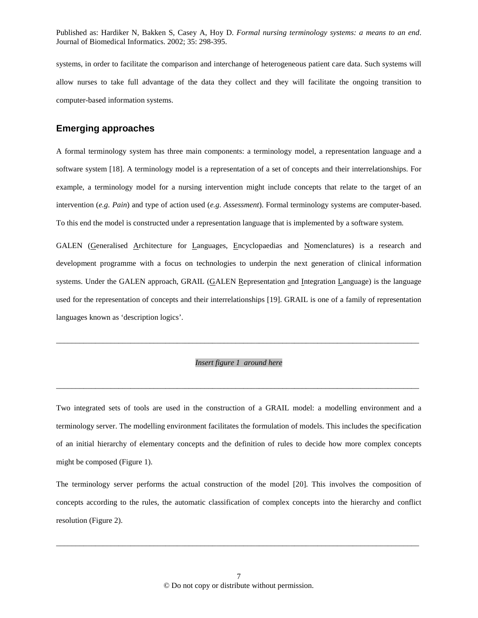systems, in order to facilitate the comparison and interchange of heterogeneous patient care data. Such systems will allow nurses to take full advantage of the data they collect and they will facilitate the ongoing transition to computer-based information systems.

# **Emerging approaches**

A formal terminology system has three main components: a terminology model, a representation language and a software system [18]. A terminology model is a representation of a set of concepts and their interrelationships. For example, a terminology model for a nursing intervention might include concepts that relate to the target of an intervention (*e.g. Pain*) and type of action used (*e.g. Assessment*). Formal terminology systems are computer-based. To this end the model is constructed under a representation language that is implemented by a software system.

GALEN (Generalised Architecture for Languages, Encyclopaedias and Nomenclatures) is a research and development programme with a focus on technologies to underpin the next generation of clinical information systems. Under the GALEN approach, GRAIL (GALEN Representation and Integration Language) is the language used for the representation of concepts and their interrelationships [19]. GRAIL is one of a family of representation languages known as 'description logics'.

#### *Insert figure 1 around here*

\_\_\_\_\_\_\_\_\_\_\_\_\_\_\_\_\_\_\_\_\_\_\_\_\_\_\_\_\_\_\_\_\_\_\_\_\_\_\_\_\_\_\_\_\_\_\_\_\_\_\_\_\_\_\_\_\_\_\_\_\_\_\_\_\_\_\_\_\_\_\_\_\_\_\_\_\_\_\_\_\_\_\_\_\_\_\_\_\_\_\_\_\_

\_\_\_\_\_\_\_\_\_\_\_\_\_\_\_\_\_\_\_\_\_\_\_\_\_\_\_\_\_\_\_\_\_\_\_\_\_\_\_\_\_\_\_\_\_\_\_\_\_\_\_\_\_\_\_\_\_\_\_\_\_\_\_\_\_\_\_\_\_\_\_\_\_\_\_\_\_\_\_\_\_\_\_\_\_\_\_\_\_\_\_\_\_

Two integrated sets of tools are used in the construction of a GRAIL model: a modelling environment and a terminology server. The modelling environment facilitates the formulation of models. This includes the specification of an initial hierarchy of elementary concepts and the definition of rules to decide how more complex concepts might be composed (Figure 1).

The terminology server performs the actual construction of the model [20]. This involves the composition of concepts according to the rules, the automatic classification of complex concepts into the hierarchy and conflict resolution (Figure 2).

\_\_\_\_\_\_\_\_\_\_\_\_\_\_\_\_\_\_\_\_\_\_\_\_\_\_\_\_\_\_\_\_\_\_\_\_\_\_\_\_\_\_\_\_\_\_\_\_\_\_\_\_\_\_\_\_\_\_\_\_\_\_\_\_\_\_\_\_\_\_\_\_\_\_\_\_\_\_\_\_\_\_\_\_\_\_\_\_\_\_\_\_\_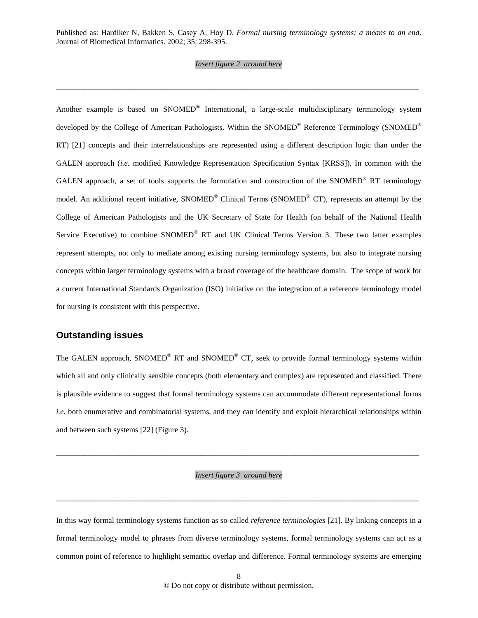#### *Insert figure 2 around here*

\_\_\_\_\_\_\_\_\_\_\_\_\_\_\_\_\_\_\_\_\_\_\_\_\_\_\_\_\_\_\_\_\_\_\_\_\_\_\_\_\_\_\_\_\_\_\_\_\_\_\_\_\_\_\_\_\_\_\_\_\_\_\_\_\_\_\_\_\_\_\_\_\_\_\_\_\_\_\_\_\_\_\_\_\_\_\_\_\_\_\_\_\_

Another example is based on SNOMED® International, a large-scale multidisciplinary terminology system developed by the College of American Pathologists. Within the SNOMED<sup>®</sup> Reference Terminology (SNOMED<sup>®</sup> RT) [21] concepts and their interrelationships are represented using a different description logic than under the GALEN approach (*i.e.* modified Knowledge Representation Specification Syntax [KRSS]). In common with the GALEN approach, a set of tools supports the formulation and construction of the SNOMED<sup>®</sup> RT terminology model. An additional recent initiative, SNOMED® Clinical Terms (SNOMED® CT), represents an attempt by the College of American Pathologists and the UK Secretary of State for Health (on behalf of the National Health Service Executive) to combine SNOMED® RT and UK Clinical Terms Version 3. These two latter examples represent attempts, not only to mediate among existing nursing terminology systems, but also to integrate nursing concepts within larger terminology systems with a broad coverage of the healthcare domain. The scope of work for a current International Standards Organization (ISO) initiative on the integration of a reference terminology model for nursing is consistent with this perspective.

# **Outstanding issues**

The GALEN approach, SNOMED<sup>®</sup> RT and SNOMED<sup>®</sup> CT, seek to provide formal terminology systems within which all and only clinically sensible concepts (both elementary and complex) are represented and classified. There is plausible evidence to suggest that formal terminology systems can accommodate different representational forms *i.e.* both enumerative and combinatorial systems, and they can identify and exploit hierarchical relationships within and between such systems [22] (Figure 3).

#### *Insert figure 3 around here*

\_\_\_\_\_\_\_\_\_\_\_\_\_\_\_\_\_\_\_\_\_\_\_\_\_\_\_\_\_\_\_\_\_\_\_\_\_\_\_\_\_\_\_\_\_\_\_\_\_\_\_\_\_\_\_\_\_\_\_\_\_\_\_\_\_\_\_\_\_\_\_\_\_\_\_\_\_\_\_\_\_\_\_\_\_\_\_\_\_\_\_\_\_

\_\_\_\_\_\_\_\_\_\_\_\_\_\_\_\_\_\_\_\_\_\_\_\_\_\_\_\_\_\_\_\_\_\_\_\_\_\_\_\_\_\_\_\_\_\_\_\_\_\_\_\_\_\_\_\_\_\_\_\_\_\_\_\_\_\_\_\_\_\_\_\_\_\_\_\_\_\_\_\_\_\_\_\_\_\_\_\_\_\_\_\_\_

In this way formal terminology systems function as so-called *reference terminologies* [21]. By linking concepts in a formal terminology model to phrases from diverse terminology systems, formal terminology systems can act as a common point of reference to highlight semantic overlap and difference. Formal terminology systems are emerging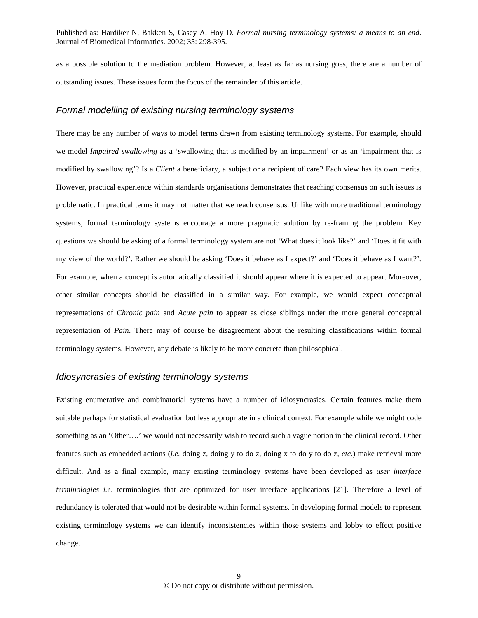as a possible solution to the mediation problem. However, at least as far as nursing goes, there are a number of outstanding issues. These issues form the focus of the remainder of this article.

#### *Formal modelling of existing nursing terminology systems*

There may be any number of ways to model terms drawn from existing terminology systems. For example, should we model *Impaired swallowing* as a 'swallowing that is modified by an impairment' or as an 'impairment that is modified by swallowing'? Is a *Client* a beneficiary, a subject or a recipient of care? Each view has its own merits. However, practical experience within standards organisations demonstrates that reaching consensus on such issues is problematic. In practical terms it may not matter that we reach consensus. Unlike with more traditional terminology systems, formal terminology systems encourage a more pragmatic solution by re-framing the problem. Key questions we should be asking of a formal terminology system are not 'What does it look like?' and 'Does it fit with my view of the world?'. Rather we should be asking 'Does it behave as I expect?' and 'Does it behave as I want?'. For example, when a concept is automatically classified it should appear where it is expected to appear. Moreover, other similar concepts should be classified in a similar way. For example, we would expect conceptual representations of *Chronic pain* and *Acute pain* to appear as close siblings under the more general conceptual representation of *Pain*. There may of course be disagreement about the resulting classifications within formal terminology systems. However, any debate is likely to be more concrete than philosophical.

#### *Idiosyncrasies of existing terminology systems*

Existing enumerative and combinatorial systems have a number of idiosyncrasies. Certain features make them suitable perhaps for statistical evaluation but less appropriate in a clinical context. For example while we might code something as an 'Other….' we would not necessarily wish to record such a vague notion in the clinical record. Other features such as embedded actions (*i.e.* doing z, doing y to do z, doing x to do y to do z, *etc*.) make retrieval more difficult. And as a final example, many existing terminology systems have been developed as *user interface terminologies i.e*. terminologies that are optimized for user interface applications [21]. Therefore a level of redundancy is tolerated that would not be desirable within formal systems. In developing formal models to represent existing terminology systems we can identify inconsistencies within those systems and lobby to effect positive change.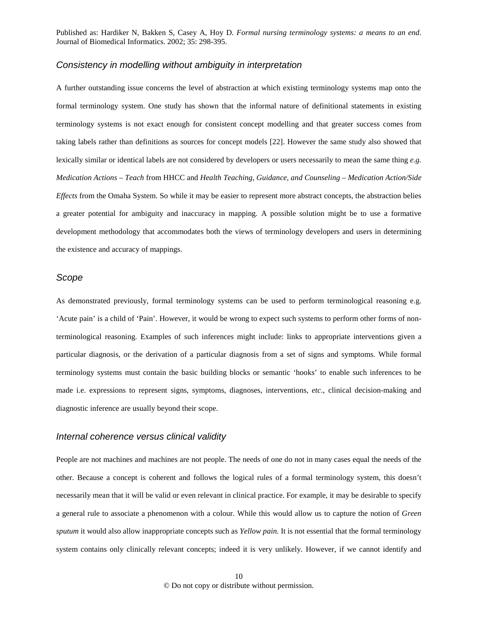### *Consistency in modelling without ambiguity in interpretation*

A further outstanding issue concerns the level of abstraction at which existing terminology systems map onto the formal terminology system. One study has shown that the informal nature of definitional statements in existing terminology systems is not exact enough for consistent concept modelling and that greater success comes from taking labels rather than definitions as sources for concept models [22]. However the same study also showed that lexically similar or identical labels are not considered by developers or users necessarily to mean the same thing *e.g. Medication Actions – Teach* from HHCC and *Health Teaching, Guidance, and Counseling – Medication Action/Side Effects* from the Omaha System. So while it may be easier to represent more abstract concepts, the abstraction belies a greater potential for ambiguity and inaccuracy in mapping. A possible solution might be to use a formative development methodology that accommodates both the views of terminology developers and users in determining the existence and accuracy of mappings.

#### *Scope*

As demonstrated previously, formal terminology systems can be used to perform terminological reasoning e.g. 'Acute pain' is a child of 'Pain'. However, it would be wrong to expect such systems to perform other forms of nonterminological reasoning. Examples of such inferences might include: links to appropriate interventions given a particular diagnosis, or the derivation of a particular diagnosis from a set of signs and symptoms. While formal terminology systems must contain the basic building blocks or semantic 'hooks' to enable such inferences to be made i.e. expressions to represent signs, symptoms, diagnoses, interventions, *etc*., clinical decision-making and diagnostic inference are usually beyond their scope.

#### *Internal coherence versus clinical validity*

People are not machines and machines are not people. The needs of one do not in many cases equal the needs of the other. Because a concept is coherent and follows the logical rules of a formal terminology system, this doesn't necessarily mean that it will be valid or even relevant in clinical practice. For example, it may be desirable to specify a general rule to associate a phenomenon with a colour. While this would allow us to capture the notion of *Green sputum* it would also allow inappropriate concepts such as *Yellow pain.* It is not essential that the formal terminology system contains only clinically relevant concepts; indeed it is very unlikely. However, if we cannot identify and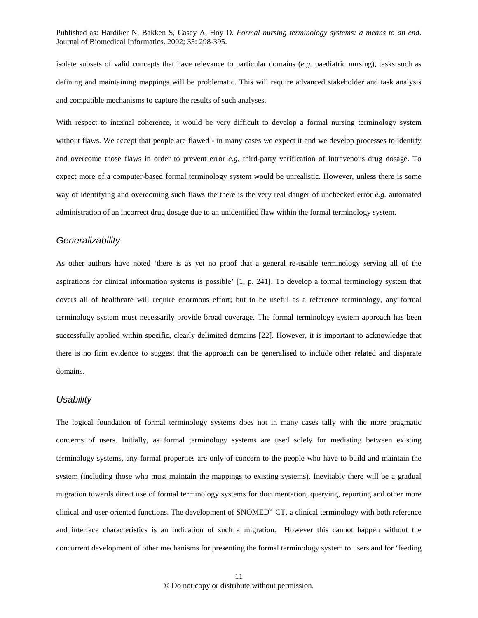isolate subsets of valid concepts that have relevance to particular domains (*e.g.* paediatric nursing), tasks such as defining and maintaining mappings will be problematic. This will require advanced stakeholder and task analysis and compatible mechanisms to capture the results of such analyses.

With respect to internal coherence, it would be very difficult to develop a formal nursing terminology system without flaws. We accept that people are flawed - in many cases we expect it and we develop processes to identify and overcome those flaws in order to prevent error *e.g.* third-party verification of intravenous drug dosage. To expect more of a computer-based formal terminology system would be unrealistic. However, unless there is some way of identifying and overcoming such flaws the there is the very real danger of unchecked error *e.g.* automated administration of an incorrect drug dosage due to an unidentified flaw within the formal terminology system.

#### *Generalizability*

As other authors have noted 'there is as yet no proof that a general re-usable terminology serving all of the aspirations for clinical information systems is possible' [1, p. 241]. To develop a formal terminology system that covers all of healthcare will require enormous effort; but to be useful as a reference terminology, any formal terminology system must necessarily provide broad coverage. The formal terminology system approach has been successfully applied within specific, clearly delimited domains [22]. However, it is important to acknowledge that there is no firm evidence to suggest that the approach can be generalised to include other related and disparate domains.

## *Usability*

The logical foundation of formal terminology systems does not in many cases tally with the more pragmatic concerns of users. Initially, as formal terminology systems are used solely for mediating between existing terminology systems, any formal properties are only of concern to the people who have to build and maintain the system (including those who must maintain the mappings to existing systems). Inevitably there will be a gradual migration towards direct use of formal terminology systems for documentation, querying, reporting and other more clinical and user-oriented functions. The development of SNOMED® CT, a clinical terminology with both reference and interface characteristics is an indication of such a migration. However this cannot happen without the concurrent development of other mechanisms for presenting the formal terminology system to users and for 'feeding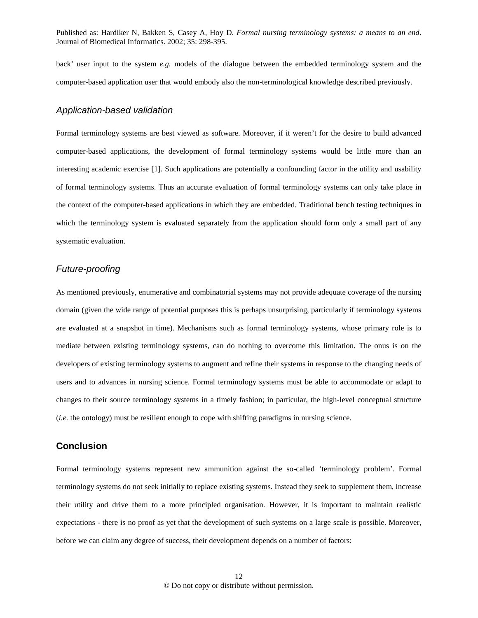back' user input to the system *e.g.* models of the dialogue between the embedded terminology system and the computer-based application user that would embody also the non-terminological knowledge described previously.

#### *Application-based validation*

Formal terminology systems are best viewed as software. Moreover, if it weren't for the desire to build advanced computer-based applications, the development of formal terminology systems would be little more than an interesting academic exercise [1]. Such applications are potentially a confounding factor in the utility and usability of formal terminology systems. Thus an accurate evaluation of formal terminology systems can only take place in the context of the computer-based applications in which they are embedded. Traditional bench testing techniques in which the terminology system is evaluated separately from the application should form only a small part of any systematic evaluation.

#### *Future-proofing*

As mentioned previously, enumerative and combinatorial systems may not provide adequate coverage of the nursing domain (given the wide range of potential purposes this is perhaps unsurprising, particularly if terminology systems are evaluated at a snapshot in time). Mechanisms such as formal terminology systems, whose primary role is to mediate between existing terminology systems, can do nothing to overcome this limitation. The onus is on the developers of existing terminology systems to augment and refine their systems in response to the changing needs of users and to advances in nursing science. Formal terminology systems must be able to accommodate or adapt to changes to their source terminology systems in a timely fashion; in particular, the high-level conceptual structure (*i.e.* the ontology) must be resilient enough to cope with shifting paradigms in nursing science.

# **Conclusion**

Formal terminology systems represent new ammunition against the so-called 'terminology problem'. Formal terminology systems do not seek initially to replace existing systems. Instead they seek to supplement them, increase their utility and drive them to a more principled organisation. However, it is important to maintain realistic expectations - there is no proof as yet that the development of such systems on a large scale is possible. Moreover, before we can claim any degree of success, their development depends on a number of factors: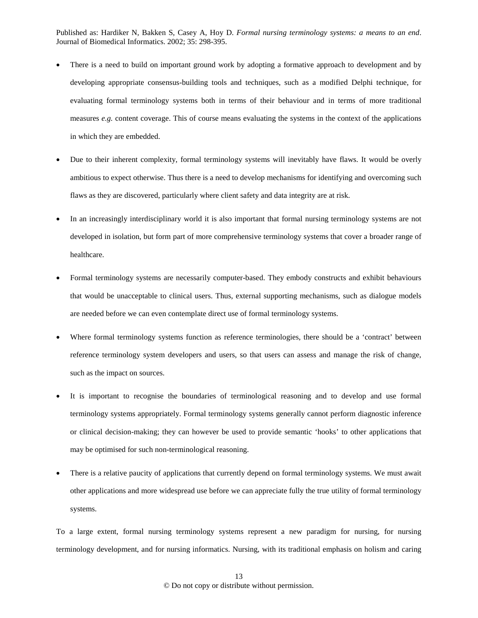- There is a need to build on important ground work by adopting a formative approach to development and by developing appropriate consensus-building tools and techniques, such as a modified Delphi technique, for evaluating formal terminology systems both in terms of their behaviour and in terms of more traditional measures  $e.g.$  content coverage. This of course means evaluating the systems in the context of the applications in which they are embedded.
- Due to their inherent complexity, formal terminology systems will inevitably have flaws. It would be overly ambitious to expect otherwise. Thus there is a need to develop mechanisms for identifying and overcoming such flaws as they are discovered, particularly where client safety and data integrity are at risk.
- In an increasingly interdisciplinary world it is also important that formal nursing terminology systems are not developed in isolation, but form part of more comprehensive terminology systems that cover a broader range of healthcare.
- Formal terminology systems are necessarily computer-based. They embody constructs and exhibit behaviours that would be unacceptable to clinical users. Thus, external supporting mechanisms, such as dialogue models are needed before we can even contemplate direct use of formal terminology systems.
- Where formal terminology systems function as reference terminologies, there should be a 'contract' between reference terminology system developers and users, so that users can assess and manage the risk of change, such as the impact on sources.
- It is important to recognise the boundaries of terminological reasoning and to develop and use formal terminology systems appropriately. Formal terminology systems generally cannot perform diagnostic inference or clinical decision-making; they can however be used to provide semantic 'hooks' to other applications that may be optimised for such non-terminological reasoning.
- There is a relative paucity of applications that currently depend on formal terminology systems. We must await other applications and more widespread use before we can appreciate fully the true utility of formal terminology systems.

To a large extent, formal nursing terminology systems represent a new paradigm for nursing, for nursing terminology development, and for nursing informatics. Nursing, with its traditional emphasis on holism and caring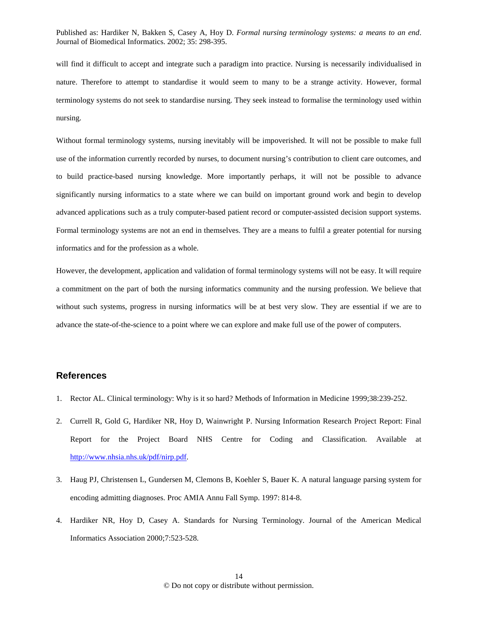will find it difficult to accept and integrate such a paradigm into practice. Nursing is necessarily individualised in nature. Therefore to attempt to standardise it would seem to many to be a strange activity. However, formal terminology systems do not seek to standardise nursing. They seek instead to formalise the terminology used within nursing.

Without formal terminology systems, nursing inevitably will be impoverished. It will not be possible to make full use of the information currently recorded by nurses, to document nursing's contribution to client care outcomes, and to build practice-based nursing knowledge. More importantly perhaps, it will not be possible to advance significantly nursing informatics to a state where we can build on important ground work and begin to develop advanced applications such as a truly computer-based patient record or computer-assisted decision support systems. Formal terminology systems are not an end in themselves. They are a means to fulfil a greater potential for nursing informatics and for the profession as a whole.

However, the development, application and validation of formal terminology systems will not be easy. It will require a commitment on the part of both the nursing informatics community and the nursing profession. We believe that without such systems, progress in nursing informatics will be at best very slow. They are essential if we are to advance the state-of-the-science to a point where we can explore and make full use of the power of computers.

#### **References**

- 1. Rector AL. Clinical terminology: Why is it so hard? Methods of Information in Medicine 1999;38:239-252.
- 2. Currell R, Gold G, Hardiker NR, Hoy D, Wainwright P. Nursing Information Research Project Report: Final Report for the Project Board NHS Centre for Coding and Classification. Available at [http://www.nhsia.nhs.uk/pdf/nirp.pdf.](http://www.nhsia.nhs.uk/pdf/nirp.pdf)
- 3. Haug PJ, Christensen L, Gundersen M, Clemons B, Koehler S, Bauer K. A natural language parsing system for encoding admitting diagnoses. Proc AMIA Annu Fall Symp. 1997: 814-8.
- 4. Hardiker NR, Hoy D, Casey A. Standards for Nursing Terminology. Journal of the American Medical Informatics Association 2000;7:523-528.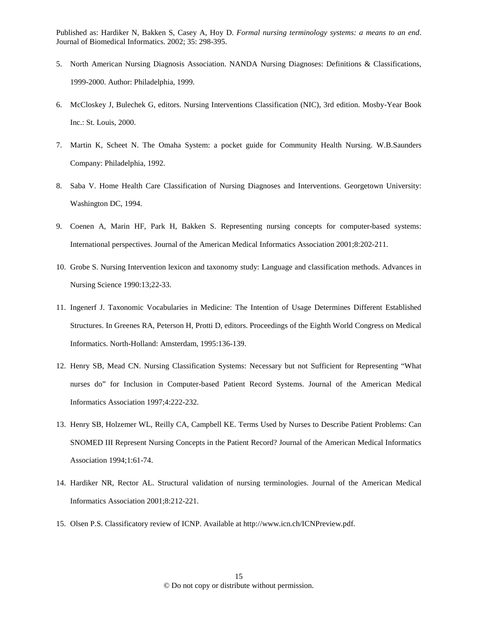- 5. North American Nursing Diagnosis Association. NANDA Nursing Diagnoses: Definitions & Classifications, 1999-2000. Author: Philadelphia, 1999.
- 6. McCloskey J, Bulechek G, editors. Nursing Interventions Classification (NIC), 3rd edition. Mosby-Year Book Inc.: St. Louis, 2000.
- 7. Martin K, Scheet N. The Omaha System: a pocket guide for Community Health Nursing. W.B.Saunders Company: Philadelphia, 1992.
- 8. Saba V. Home Health Care Classification of Nursing Diagnoses and Interventions. Georgetown University: Washington DC, 1994.
- 9. Coenen A, Marin HF, Park H, Bakken S. Representing nursing concepts for computer-based systems: International perspectives. Journal of the American Medical Informatics Association 2001;8:202-211.
- 10. Grobe S. Nursing Intervention lexicon and taxonomy study: Language and classification methods. Advances in Nursing Science 1990:13;22-33.
- 11. Ingenerf J. Taxonomic Vocabularies in Medicine: The Intention of Usage Determines Different Established Structures. In Greenes RA, Peterson H, Protti D, editors. Proceedings of the Eighth World Congress on Medical Informatics. North-Holland: Amsterdam, 1995:136-139.
- 12. Henry SB, Mead CN. Nursing Classification Systems: Necessary but not Sufficient for Representing "What nurses do" for Inclusion in Computer-based Patient Record Systems. Journal of the American Medical Informatics Association 1997;4:222-232.
- 13. Henry SB, Holzemer WL, Reilly CA, Campbell KE. Terms Used by Nurses to Describe Patient Problems: Can SNOMED III Represent Nursing Concepts in the Patient Record? Journal of the American Medical Informatics Association 1994;1:61-74.
- 14. Hardiker NR, Rector AL. Structural validation of nursing terminologies. Journal of the American Medical Informatics Association 2001;8:212-221.
- 15. Olsen P.S. Classificatory review of ICNP. Available at [http://www.icn.ch/ICNPreview.pdf.](http://www.icn.ch/ICNPreview.pdf)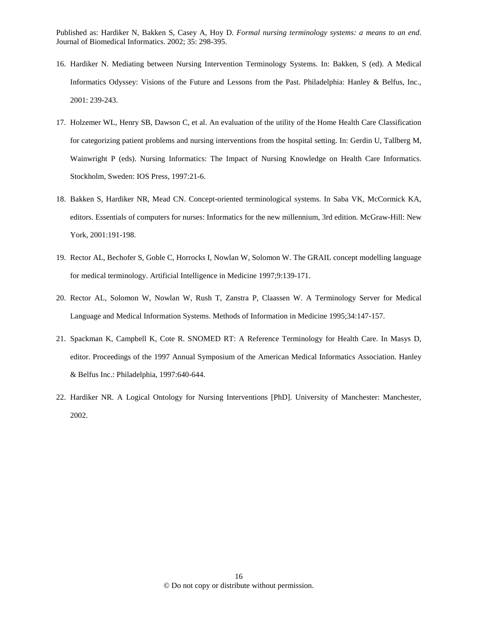- 16. Hardiker N. Mediating between Nursing Intervention Terminology Systems. In: Bakken, S (ed). A Medical Informatics Odyssey: Visions of the Future and Lessons from the Past. Philadelphia: Hanley & Belfus, Inc., 2001: 239-243.
- 17. Holzemer WL, Henry SB, Dawson C, et al. An evaluation of the utility of the Home Health Care Classification for categorizing patient problems and nursing interventions from the hospital setting. In: Gerdin U, Tallberg M, Wainwright P (eds). Nursing Informatics: The Impact of Nursing Knowledge on Health Care Informatics. Stockholm, Sweden: IOS Press, 1997:21-6.
- 18. Bakken S, Hardiker NR, Mead CN. Concept-oriented terminological systems. In Saba VK, McCormick KA, editors. Essentials of computers for nurses: Informatics for the new millennium, 3rd edition. McGraw-Hill: New York, 2001:191-198.
- 19. Rector AL, Bechofer S, Goble C, Horrocks I, Nowlan W, Solomon W. The GRAIL concept modelling language for medical terminology. Artificial Intelligence in Medicine 1997;9:139-171.
- 20. Rector AL, Solomon W, Nowlan W, Rush T, Zanstra P, Claassen W. A Terminology Server for Medical Language and Medical Information Systems. Methods of Information in Medicine 1995;34:147-157.
- 21. Spackman K, Campbell K, Cote R. SNOMED RT: A Reference Terminology for Health Care. In Masys D, editor. Proceedings of the 1997 Annual Symposium of the American Medical Informatics Association. Hanley & Belfus Inc.: Philadelphia, 1997:640-644.
- 22. Hardiker NR. A Logical Ontology for Nursing Interventions [PhD]. University of Manchester: Manchester, 2002.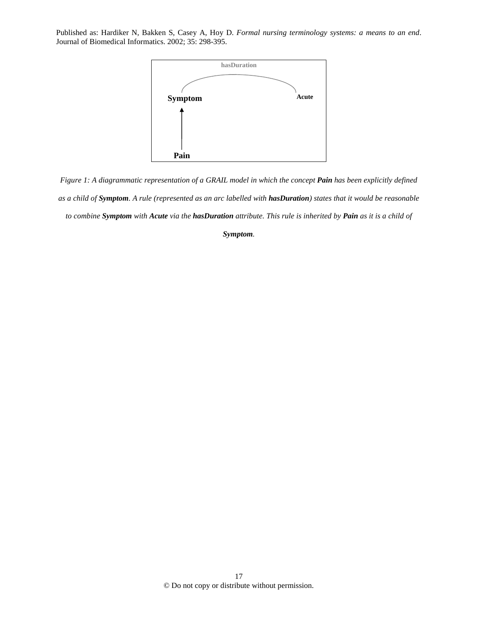

*Figure 1: A diagrammatic representation of a GRAIL model in which the concept Pain has been explicitly defined as a child of Symptom. A rule (represented as an arc labelled with hasDuration) states that it would be reasonable to combine Symptom with Acute via the hasDuration attribute. This rule is inherited by Pain as it is a child of* 

*Symptom.*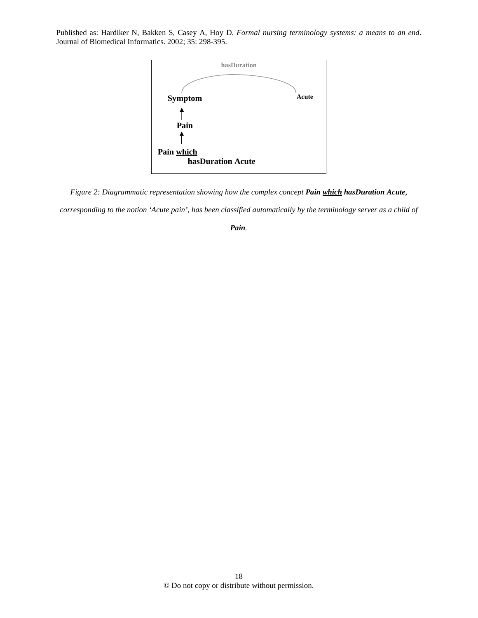

*Figure 2: Diagrammatic representation showing how the complex concept Pain which hasDuration Acute,* 

*corresponding to the notion 'Acute pain', has been classified automatically by the terminology server as a child of* 

*Pain.*